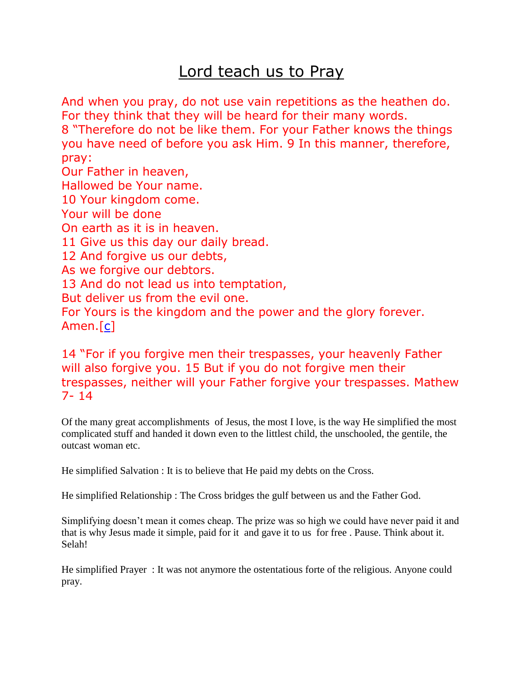## Lord teach us to Pray

And when you pray, do not use vain repetitions as the heathen do. For they think that they will be heard for their many words. 8 "Therefore do not be like them. For your Father knows the things you have need of before you ask Him. 9 In this manner, therefore, pray: Our Father in heaven, Hallowed be Your name. 10 Your kingdom come. Your will be done On earth as it is in heaven. 11 Give us this day our daily bread. 12 And forgive us our debts, As we forgive our debtors. 13 And do not lead us into temptation, But deliver us from the evil one. For Yours is the kingdom and the power and the glory forever. Amen.[\[c\]](http://www.biblegateway.com/passage/?search=mathew%206&version=NKJV#fen-NKJV-23296c)

14 "For if you forgive men their trespasses, your heavenly Father will also forgive you. 15 But if you do not forgive men their trespasses, neither will your Father forgive your trespasses. Mathew 7- 14

Of the many great accomplishments of Jesus, the most I love, is the way He simplified the most complicated stuff and handed it down even to the littlest child, the unschooled, the gentile, the outcast woman etc.

He simplified Salvation : It is to believe that He paid my debts on the Cross.

He simplified Relationship : The Cross bridges the gulf between us and the Father God.

Simplifying doesn't mean it comes cheap. The prize was so high we could have never paid it and that is why Jesus made it simple, paid for it and gave it to us for free . Pause. Think about it. Selah!

He simplified Prayer : It was not anymore the ostentatious forte of the religious. Anyone could pray.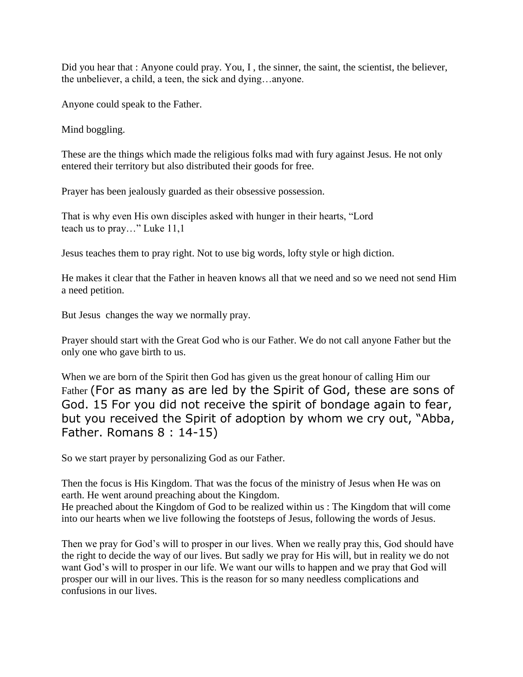Did you hear that : Anyone could pray. You, I, the sinner, the saint, the scientist, the believer, the unbeliever, a child, a teen, the sick and dying…anyone.

Anyone could speak to the Father.

Mind boggling.

These are the things which made the religious folks mad with fury against Jesus. He not only entered their territory but also distributed their goods for free.

Prayer has been jealously guarded as their obsessive possession.

That is why even His own disciples asked with hunger in their hearts, "Lord teach us to pray…" Luke 11,1

Jesus teaches them to pray right. Not to use big words, lofty style or high diction.

He makes it clear that the Father in heaven knows all that we need and so we need not send Him a need petition.

But Jesus changes the way we normally pray.

Prayer should start with the Great God who is our Father. We do not call anyone Father but the only one who gave birth to us.

When we are born of the Spirit then God has given us the great honour of calling Him our Father (For as many as are led by the Spirit of God, these are sons of God. 15 For you did not receive the spirit of bondage again to fear, but you received the Spirit of adoption by whom we cry out, "Abba, Father. Romans 8 : 14-15)

So we start prayer by personalizing God as our Father.

Then the focus is His Kingdom. That was the focus of the ministry of Jesus when He was on earth. He went around preaching about the Kingdom.

He preached about the Kingdom of God to be realized within us : The Kingdom that will come into our hearts when we live following the footsteps of Jesus, following the words of Jesus.

Then we pray for God's will to prosper in our lives. When we really pray this, God should have the right to decide the way of our lives. But sadly we pray for His will, but in reality we do not want God's will to prosper in our life. We want our wills to happen and we pray that God will prosper our will in our lives. This is the reason for so many needless complications and confusions in our lives.